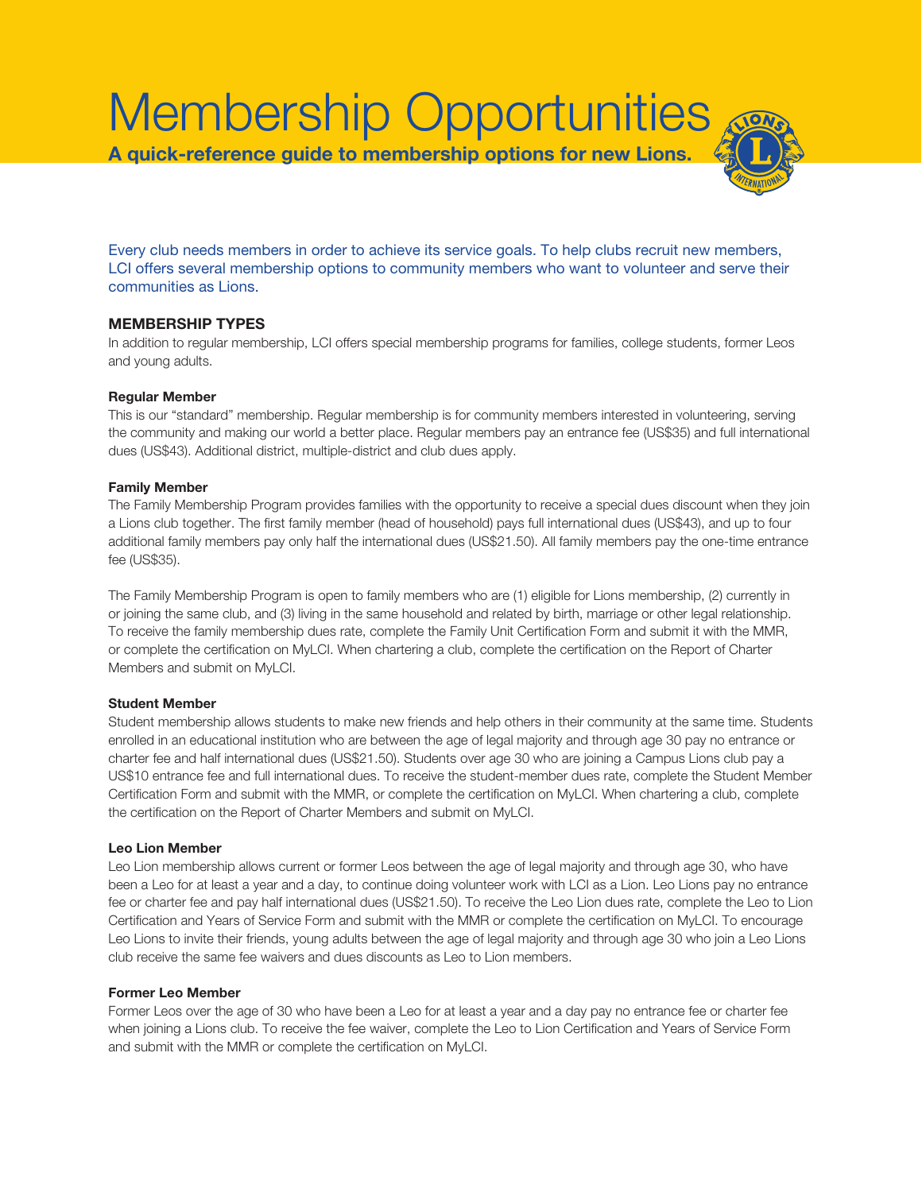# Membership Opportunities **A quick-reference guide to membership options for new Lions.**

Every club needs members in order to achieve its service goals. To help clubs recruit new members, LCI offers several membership options to community members who want to volunteer and serve their communities as Lions.

# **MEMBERSHIP TYPES**

In addition to regular membership, LCI offers special membership programs for families, college students, former Leos and young adults.

# **Regular Member**

This is our "standard" membership. Regular membership is for community members interested in volunteering, serving the community and making our world a better place. Regular members pay an entrance fee (US\$35) and full international dues (US\$43). Additional district, multiple-district and club dues apply.

### **Family Member**

The Family Membership Program provides families with the opportunity to receive a special dues discount when they join a Lions club together. The first family member (head of household) pays full international dues (US\$43), and up to four additional family members pay only half the international dues (US\$21.50). All family members pay the one-time entrance fee (US\$35).

The Family Membership Program is open to family members who are (1) eligible for Lions membership, (2) currently in or joining the same club, and (3) living in the same household and related by birth, marriage or other legal relationship. To receive the family membership dues rate, complete the Family Unit Certification Form and submit it with the MMR, or complete the certification on MyLCI. When chartering a club, complete the certification on the Report of Charter Members and submit on MyLCI.

# **Student Member**

Student membership allows students to make new friends and help others in their community at the same time. Students enrolled in an educational institution who are between the age of legal majority and through age 30 pay no entrance or charter fee and half international dues (US\$21.50). Students over age 30 who are joining a Campus Lions club pay a US\$10 entrance fee and full international dues. To receive the student-member dues rate, complete the Student Member Certification Form and submit with the MMR, or complete the certification on MyLCI. When chartering a club, complete the certification on the Report of Charter Members and submit on MyLCI.

# **Leo Lion Member**

Leo Lion membership allows current or former Leos between the age of legal majority and through age 30, who have been a Leo for at least a year and a day, to continue doing volunteer work with LCI as a Lion. Leo Lions pay no entrance fee or charter fee and pay half international dues (US\$21.50). To receive the Leo Lion dues rate, complete the Leo to Lion Certification and Years of Service Form and submit with the MMR or complete the certification on MyLCI. To encourage Leo Lions to invite their friends, young adults between the age of legal majority and through age 30 who join a Leo Lions club receive the same fee waivers and dues discounts as Leo to Lion members.

#### **Former Leo Member**

Former Leos over the age of 30 who have been a Leo for at least a year and a day pay no entrance fee or charter fee when joining a Lions club. To receive the fee waiver, complete the Leo to Lion Certification and Years of Service Form and submit with the MMR or complete the certification on MyLCI.